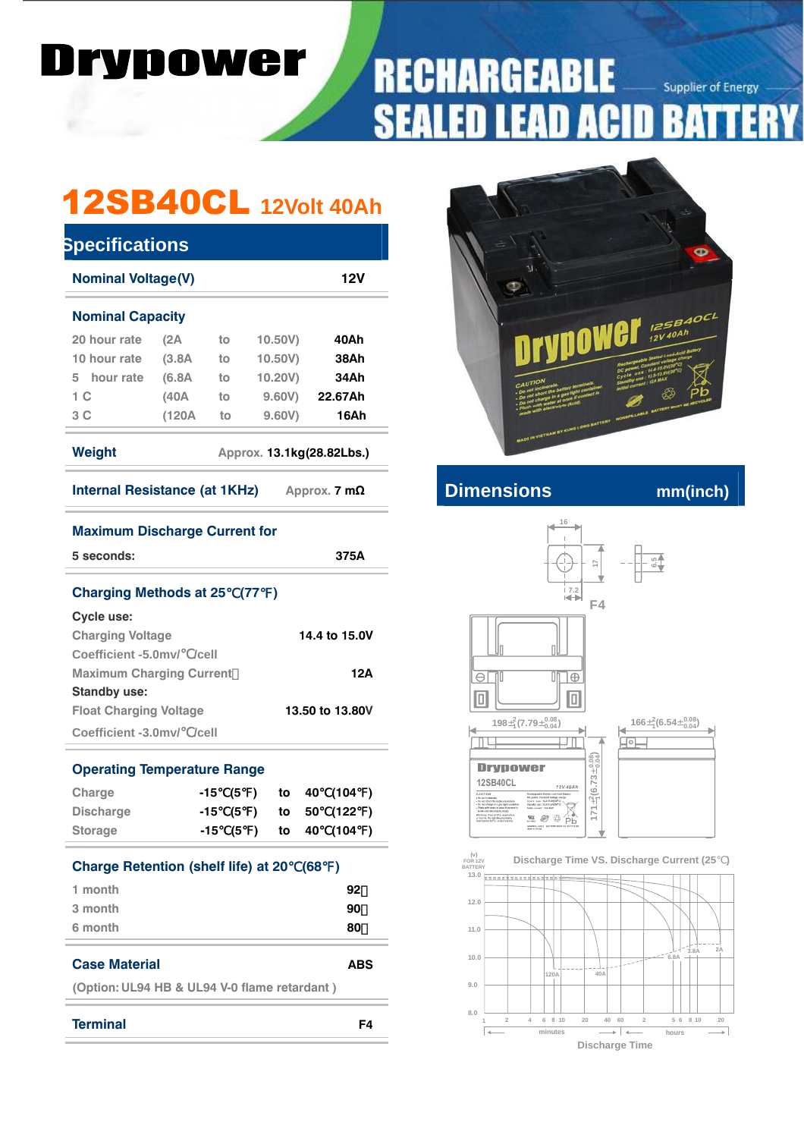### rvnowe DI r

### **RECHARGEABL Supplier of Energy** B D 51 51 ï J

# 12SB40CL **12Volt 40Ah**

| <b>Nominal Voltage(V)</b><br>12V    |        |    |         |         |  |  |  |
|-------------------------------------|--------|----|---------|---------|--|--|--|
| <b>Nominal Capacity</b>             |        |    |         |         |  |  |  |
| 20 hour rate                        | (2A)   | to | 10.50V) | 40Ah    |  |  |  |
| 10 hour rate                        | (3.8A) | to | 10,50V  | 38Ah    |  |  |  |
| 5 hour rate                         | (6.8A) | to | 10.20V) | 34Ah    |  |  |  |
| 1 C                                 | (40A)  | to | 9,60V   | 22.67Ah |  |  |  |
| 3 C                                 | (120A  | to | 9.60V   | 16Ah    |  |  |  |
| Weight<br>Approx. 13.1kg(28.82Lbs.) |        |    |         |         |  |  |  |
|                                     |        |    |         |         |  |  |  |

| 5 seconds:                         | 375A            |
|------------------------------------|-----------------|
| <b>Charging Methods at 25 (77)</b> |                 |
| Cycle use:                         |                 |
| <b>Charging Voltage</b>            | 14.4 to 15.0V   |
| Coefficient -5.0mv/ /cell          |                 |
| <b>Maximum Charging Current</b>    | 12A             |
| Standby use:                       |                 |
| <b>Float Charging Voltage</b>      | 13.50 to 13.80V |
| Coefficient -3.0mv/ /cell          |                 |

**Maximum Discharge Current for** 

| Charge                                     | -15 (5 ) |  |       | to 40 (104)         |  |
|--------------------------------------------|----------|--|-------|---------------------|--|
| <b>Discharge</b>                           | -15      |  |       | $(5)$ to 50 $(122)$ |  |
| <b>Storage</b>                             | $-15(5)$ |  | to 40 | (104)               |  |
| <b>Charge Retention (shelf life) at 20</b> |          |  | (68)  |                     |  |
| 1 month                                    |          |  |       | 92                  |  |
| 3 month                                    |          |  |       | 90                  |  |
| 6 month                                    |          |  |       | 80                  |  |

**(Option: UL94 HB & UL94 V-0 flame retardant )** 

**Terminal F4**



**Internal Resistance (AD** internal mm(inch)



 **FOR 12V BATTERY (v) Discharge Time VS. Discharge Current (25 )**